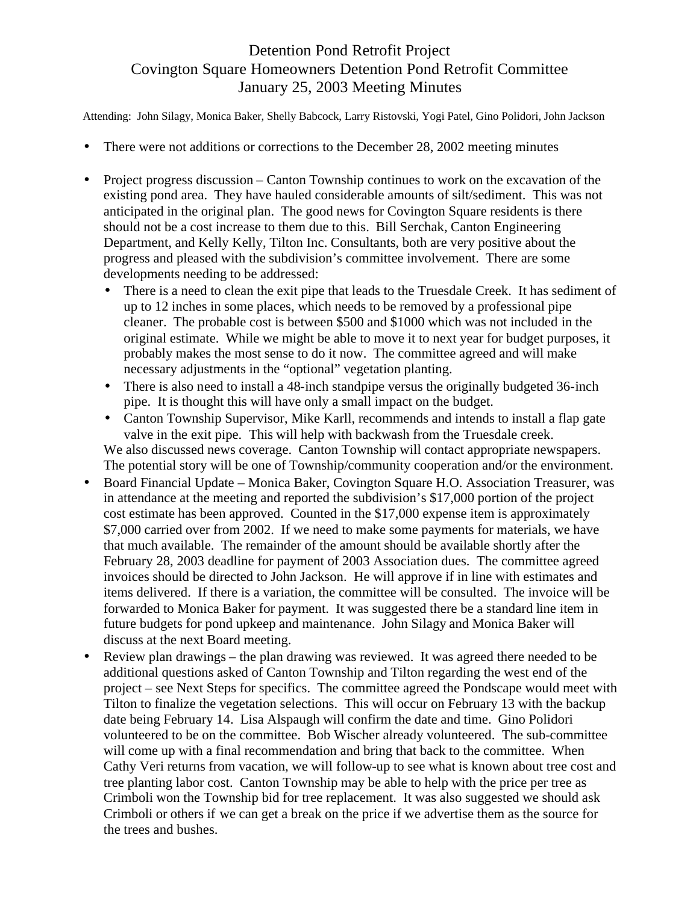## Detention Pond Retrofit Project Covington Square Homeowners Detention Pond Retrofit Committee January 25, 2003 Meeting Minutes

Attending: John Silagy, Monica Baker, Shelly Babcock, Larry Ristovski, Yogi Patel, Gino Polidori, John Jackson

- There were not additions or corrections to the December 28, 2002 meeting minutes
- Project progress discussion Canton Township continues to work on the excavation of the existing pond area. They have hauled considerable amounts of silt/sediment. This was not anticipated in the original plan. The good news for Covington Square residents is there should not be a cost increase to them due to this. Bill Serchak, Canton Engineering Department, and Kelly Kelly, Tilton Inc. Consultants, both are very positive about the progress and pleased with the subdivision's committee involvement. There are some developments needing to be addressed:
	- There is a need to clean the exit pipe that leads to the Truesdale Creek. It has sediment of up to 12 inches in some places, which needs to be removed by a professional pipe cleaner. The probable cost is between \$500 and \$1000 which was not included in the original estimate. While we might be able to move it to next year for budget purposes, it probably makes the most sense to do it now. The committee agreed and will make necessary adjustments in the "optional" vegetation planting.
	- There is also need to install a 48-inch standpipe versus the originally budgeted 36-inch pipe. It is thought this will have only a small impact on the budget.
	- Canton Township Supervisor, Mike Karll, recommends and intends to install a flap gate valve in the exit pipe. This will help with backwash from the Truesdale creek. We also discussed news coverage. Canton Township will contact appropriate newspapers. The potential story will be one of Township/community cooperation and/or the environment.
- Board Financial Update Monica Baker, Covington Square H.O. Association Treasurer, was in attendance at the meeting and reported the subdivision's \$17,000 portion of the project cost estimate has been approved. Counted in the \$17,000 expense item is approximately \$7,000 carried over from 2002. If we need to make some payments for materials, we have that much available. The remainder of the amount should be available shortly after the February 28, 2003 deadline for payment of 2003 Association dues. The committee agreed invoices should be directed to John Jackson. He will approve if in line with estimates and items delivered. If there is a variation, the committee will be consulted. The invoice will be forwarded to Monica Baker for payment. It was suggested there be a standard line item in future budgets for pond upkeep and maintenance. John Silagy and Monica Baker will discuss at the next Board meeting.
- Review plan drawings the plan drawing was reviewed. It was agreed there needed to be additional questions asked of Canton Township and Tilton regarding the west end of the project – see Next Steps for specifics. The committee agreed the Pondscape would meet with Tilton to finalize the vegetation selections. This will occur on February 13 with the backup date being February 14. Lisa Alspaugh will confirm the date and time. Gino Polidori volunteered to be on the committee. Bob Wischer already volunteered. The sub-committee will come up with a final recommendation and bring that back to the committee. When Cathy Veri returns from vacation, we will follow-up to see what is known about tree cost and tree planting labor cost. Canton Township may be able to help with the price per tree as Crimboli won the Township bid for tree replacement. It was also suggested we should ask Crimboli or others if we can get a break on the price if we advertise them as the source for the trees and bushes.